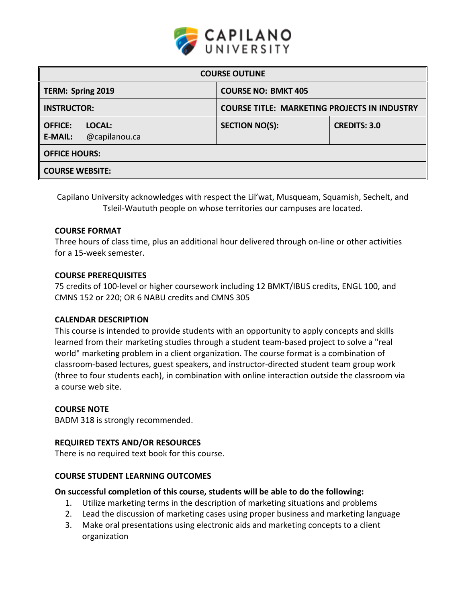

| <b>COURSE OUTLINE</b>                                       |                                                     |                     |  |  |  |
|-------------------------------------------------------------|-----------------------------------------------------|---------------------|--|--|--|
| TERM: Spring 2019                                           | <b>COURSE NO: BMKT 405</b>                          |                     |  |  |  |
| <b>INSTRUCTOR:</b>                                          | <b>COURSE TITLE: MARKETING PROJECTS IN INDUSTRY</b> |                     |  |  |  |
| <b>OFFICE:</b><br>LOCAL:<br>@capilanou.ca<br><b>E-MAIL:</b> | <b>SECTION NO(S):</b>                               | <b>CREDITS: 3.0</b> |  |  |  |
| <b>OFFICE HOURS:</b>                                        |                                                     |                     |  |  |  |
| <b>COURSE WEBSITE:</b>                                      |                                                     |                     |  |  |  |

Capilano University acknowledges with respect the Lil'wat, Musqueam, Squamish, Sechelt, and Tsleil-Waututh people on whose territories our campuses are located.

### **COURSE FORMAT**

Three hours of class time, plus an additional hour delivered through on-line or other activities for a 15-week semester.

### **COURSE PREREQUISITES**

75 credits of 100-level or higher coursework including 12 BMKT/IBUS credits, ENGL 100, and CMNS 152 or 220; OR 6 NABU credits and CMNS 305

### **CALENDAR DESCRIPTION**

This course is intended to provide students with an opportunity to apply concepts and skills learned from their marketing studies through a student team-based project to solve a "real world" marketing problem in a client organization. The course format is a combination of classroom-based lectures, guest speakers, and instructor-directed student team group work (three to four students each), in combination with online interaction outside the classroom via a course web site.

#### **COURSE NOTE**

BADM 318 is strongly recommended.

### **REQUIRED TEXTS AND/OR RESOURCES**

There is no required text book for this course.

#### **COURSE STUDENT LEARNING OUTCOMES**

#### **On successful completion of this course, students will be able to do the following:**

- 1. Utilize marketing terms in the description of marketing situations and problems
- 2. Lead the discussion of marketing cases using proper business and marketing language
- 3. Make oral presentations using electronic aids and marketing concepts to a client organization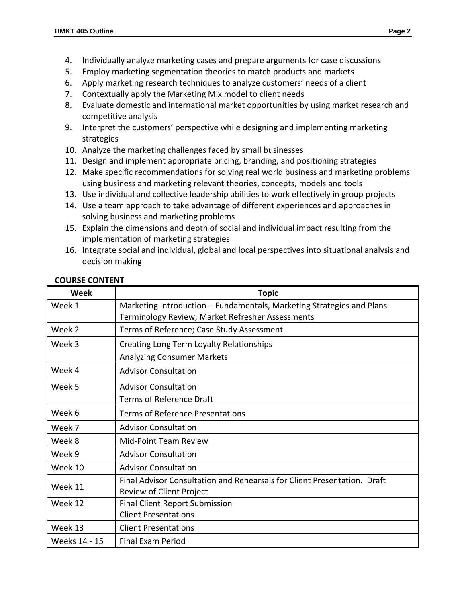- 4. Individually analyze marketing cases and prepare arguments for case discussions
- 5. Employ marketing segmentation theories to match products and markets
- 6. Apply marketing research techniques to analyze customers' needs of a client
- 7. Contextually apply the Marketing Mix model to client needs
- 8. Evaluate domestic and international market opportunities by using market research and competitive analysis
- 9. Interpret the customers' perspective while designing and implementing marketing strategies
- 10. Analyze the marketing challenges faced by small businesses
- 11. Design and implement appropriate pricing, branding, and positioning strategies
- 12. Make specific recommendations for solving real world business and marketing problems using business and marketing relevant theories, concepts, models and tools
- 13. Use individual and collective leadership abilities to work effectively in group projects
- 14. Use a team approach to take advantage of different experiences and approaches in solving business and marketing problems
- 15. Explain the dimensions and depth of social and individual impact resulting from the implementation of marketing strategies
- 16. Integrate social and individual, global and local perspectives into situational analysis and decision making

| Week          | <b>Topic</b>                                                                                                              |  |  |  |
|---------------|---------------------------------------------------------------------------------------------------------------------------|--|--|--|
| Week 1        | Marketing Introduction - Fundamentals, Marketing Strategies and Plans<br>Terminology Review; Market Refresher Assessments |  |  |  |
| Week 2        | Terms of Reference; Case Study Assessment                                                                                 |  |  |  |
| Week 3        | Creating Long Term Loyalty Relationships                                                                                  |  |  |  |
|               | <b>Analyzing Consumer Markets</b>                                                                                         |  |  |  |
| Week 4        | <b>Advisor Consultation</b>                                                                                               |  |  |  |
| Week 5        | <b>Advisor Consultation</b>                                                                                               |  |  |  |
|               | <b>Terms of Reference Draft</b>                                                                                           |  |  |  |
| Week 6        | <b>Terms of Reference Presentations</b>                                                                                   |  |  |  |
| Week 7        | <b>Advisor Consultation</b>                                                                                               |  |  |  |
| Week 8        | Mid-Point Team Review                                                                                                     |  |  |  |
| Week 9        | <b>Advisor Consultation</b>                                                                                               |  |  |  |
| Week 10       | <b>Advisor Consultation</b>                                                                                               |  |  |  |
| Week 11       | Final Advisor Consultation and Rehearsals for Client Presentation. Draft<br>Review of Client Project                      |  |  |  |
| Week 12       | <b>Final Client Report Submission</b>                                                                                     |  |  |  |
|               | <b>Client Presentations</b>                                                                                               |  |  |  |
| Week 13       | <b>Client Presentations</b>                                                                                               |  |  |  |
| Weeks 14 - 15 | <b>Final Exam Period</b>                                                                                                  |  |  |  |

## **COURSE CONTENT**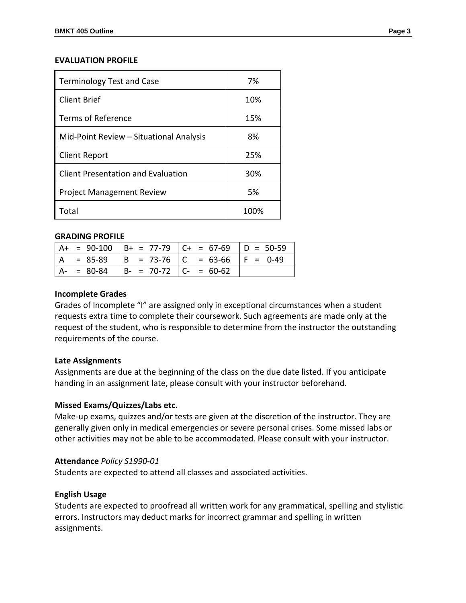### **EVALUATION PROFILE**

| <b>Terminology Test and Case</b>          | 7%   |
|-------------------------------------------|------|
| Client Brief                              | 10%  |
| Terms of Reference                        | 15%  |
| Mid-Point Review - Situational Analysis   | 8%   |
| <b>Client Report</b>                      | 25%  |
| <b>Client Presentation and Evaluation</b> | 30%  |
| <b>Project Management Review</b>          | 5%   |
| Total                                     | 100% |

### **GRADING PROFILE**

|               |                                       | $A+ = 90-100$ $B+ = 77-79$ $C+ = 67-69$ $D = 50-59$ |             |
|---------------|---------------------------------------|-----------------------------------------------------|-------------|
| $A = 85-89$   | $  B = 73-76   C = 63-66$             |                                                     | $ F = 0.49$ |
| $A - = 80-84$ | $\vert$ B- = 70-72 $\vert$ C- = 60-62 |                                                     |             |

## **Incomplete Grades**

Grades of Incomplete "I" are assigned only in exceptional circumstances when a student requests extra time to complete their coursework. Such agreements are made only at the request of the student, who is responsible to determine from the instructor the outstanding requirements of the course.

## **Late Assignments**

Assignments are due at the beginning of the class on the due date listed. If you anticipate handing in an assignment late, please consult with your instructor beforehand.

## **Missed Exams/Quizzes/Labs etc.**

Make-up exams, quizzes and/or tests are given at the discretion of the instructor. They are generally given only in medical emergencies or severe personal crises. Some missed labs or other activities may not be able to be accommodated. Please consult with your instructor.

### **Attendance** *Policy S1990-01*

Students are expected to attend all classes and associated activities.

## **English Usage**

Students are expected to proofread all written work for any grammatical, spelling and stylistic errors. Instructors may deduct marks for incorrect grammar and spelling in written assignments.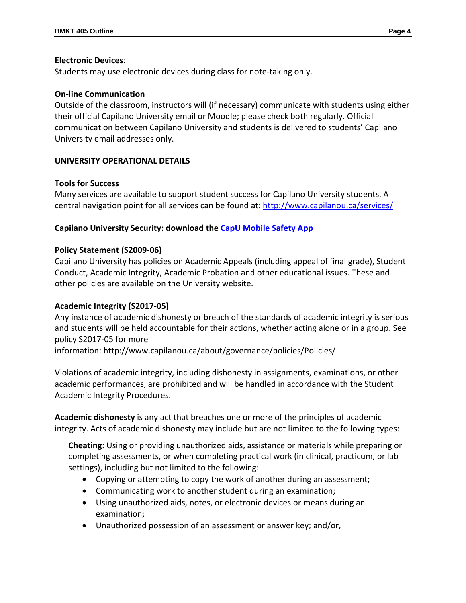## **Electronic Devices***:*

Students may use electronic devices during class for note-taking only.

## **On-line Communication**

Outside of the classroom, instructors will (if necessary) communicate with students using either their official Capilano University email or Moodle; please check both regularly. Official communication between Capilano University and students is delivered to students' Capilano University email addresses only.

# **UNIVERSITY OPERATIONAL DETAILS**

# **Tools for Success**

Many services are available to support student success for Capilano University students. A central navigation point for all services can be found at:<http://www.capilanou.ca/services/>

# **Capilano University Security: download the [CapU Mobile Safety App](https://www.capilanou.ca/services/safety-security/CapU-Mobile-Safety-App/)**

# **Policy Statement (S2009-06)**

Capilano University has policies on Academic Appeals (including appeal of final grade), Student Conduct, Academic Integrity, Academic Probation and other educational issues. These and other policies are available on the University website.

## **Academic Integrity (S2017-05)**

Any instance of academic dishonesty or breach of the standards of academic integrity is serious and students will be held accountable for their actions, whether acting alone or in a group. See policy S2017-05 for more

information:<http://www.capilanou.ca/about/governance/policies/Policies/>

Violations of academic integrity, including dishonesty in assignments, examinations, or other academic performances, are prohibited and will be handled in accordance with the Student Academic Integrity Procedures.

**Academic dishonesty** is any act that breaches one or more of the principles of academic integrity. Acts of academic dishonesty may include but are not limited to the following types:

**Cheating**: Using or providing unauthorized aids, assistance or materials while preparing or completing assessments, or when completing practical work (in clinical, practicum, or lab settings), including but not limited to the following:

- Copying or attempting to copy the work of another during an assessment;
- Communicating work to another student during an examination;
- Using unauthorized aids, notes, or electronic devices or means during an examination;
- Unauthorized possession of an assessment or answer key; and/or,